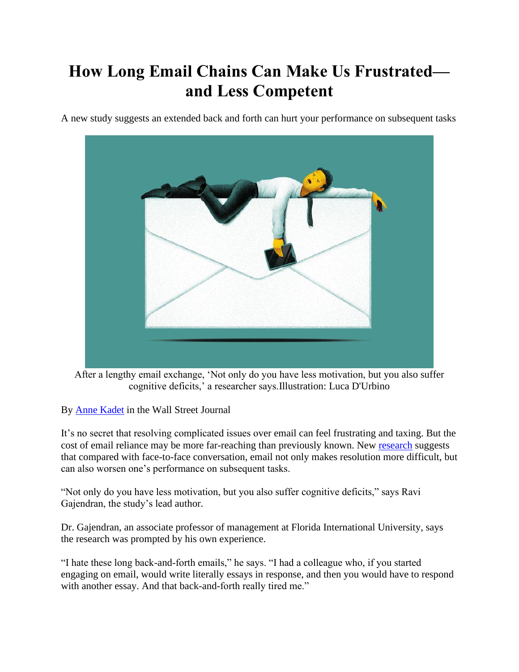## **How Long Email Chains Can Make Us Frustrated and Less Competent**

A new study suggests an extended back and forth can hurt your performance on subsequent tasks



After a lengthy email exchange, 'Not only do you have less motivation, but you also suffer cognitive deficits,' a researcher says.Illustration: Luca D'Urbino

By [Anne Kadet](https://www.wsj.com/news/author/anne-kadet) in the Wall Street Journal

It's no secret that resolving complicated issues over email can feel frustrating and taxing. But the cost of email reliance may be more far-reaching than previously known. New [research](https://www.sciencedirect.com/science/article/abs/pii/S0749597822000140) suggests that compared with face-to-face conversation, email not only makes resolution more difficult, but can also worsen one's performance on subsequent tasks.

"Not only do you have less motivation, but you also suffer cognitive deficits," says Ravi Gajendran, the study's lead author.

Dr. Gajendran, an associate professor of management at Florida International University, says the research was prompted by his own experience.

"I hate these long back-and-forth emails," he says. "I had a colleague who, if you started engaging on email, would write literally essays in response, and then you would have to respond with another essay. And that back-and-forth really tired me."